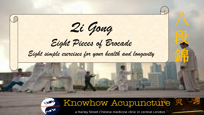段 錦 *Qi Gong Eight Pieces of Brocade Eight simple exercises for your health and longevity*



Knowhow Acupuncture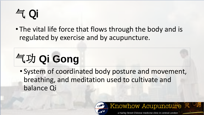# 气 Qi

• The vital life force that flows through the body and is regulated by exercise and by acupuncture.

# 气功 **Qi Gong**

• System of coordinated body posture and movement, breathing, and meditation used to cultivate and balance Qi

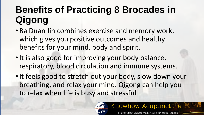## **Benefits of Practicing 8 Brocades in Qigong**

- Ba Duan Jin combines exercise and memory work, which gives you positive outcomes and healthy benefits for your mind, body and spirit.
- It is also good for improving your body balance, respiratory, blood circulation and immune systems.
- •It feels good to stretch out your body, slow down your breathing, and relax your mind. Qigong can help you to relax when life is busy and stressful

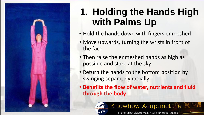

#### **1. Holding the Hands High with Palms Up**

- Hold the hands down with fingers enmeshed
- Move upwards, turning the wrists in front of the face
- Then raise the enmeshed hands as high as possible and stare at the sky.
- Return the hands to the bottom position by swinging separately radially
- **Benefits the flow of water, nutrients and fluid through the body**

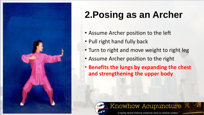

# **2.Posing as an Archer**

- Assume Archer position to the left
- Pull right hand fully back
- Turn to right and move weight to right leg
- Assume Archer position to the right
- **Benefits the lungs by expanding the chest and strengthening the upper body**

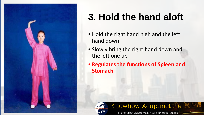

## **3. Hold the hand aloft**

- Hold the right hand high and the left hand down
- Slowly bring the right hand down and the left one up
- **Regulates the functions of Spleen and Stomach**



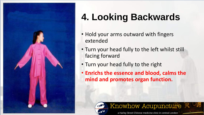

## **4. Looking Backwards**

- Hold your arms outward with fingers extended
- Turn your head fully to the left whilst still facing forward
- Turn your head fully to the right
- **Enrichs the essence and blood, calms the mind and promotes organ function.**

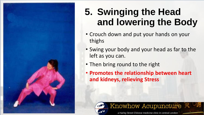

## **5. Swinging the Head and lowering the Body**

- Crouch down and put your hands on your thighs
- Swing your body and your head as far to the left as you can.
- Then bring round to the right
- **Promotes the relationship between heart and kidneys, relieving Stress**

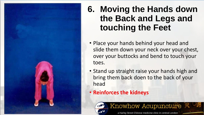

#### **6. Moving the Hands down the Back and Legs and touching the Feet**

- Place your hands behind your head and slide them down your neck over your chest, over your buttocks and bend to touch your toes.
- Stand up straight raise your hands high and bring them back doen to the back of your head
- **Reinforces the kidneys**

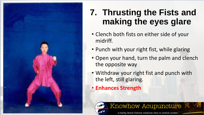

#### **7. Thrusting the Fists and making the eyes glare**

- Clench both fists on either side of your midriff.
- Punch with your right fist, while glaring
- Open your hand, turn the palm and clench the opposite way
- Withdraw your right fist and punch with the left, still glaring.
- **Enhances Strength**

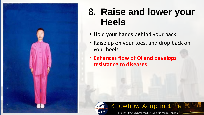

#### **8. Raise and lower your Heels**

- Hold your hands behind your back
- Raise up on your toes, and drop back on your heels
- **Enhances flow of Qi and develops resistance to diseases**



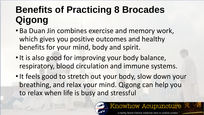## **Benefits of Practicing 8 Brocades Qigong**

- Ba Duan Jin combines exercise and memory work, which gives you positive outcomes and healthy benefits for your mind, body and spirit.
- It is also good for improving your body balance, respiratory, blood circulation and immune systems.
- •It feels good to stretch out your body, slow down your breathing, and relax your mind. Qigong can help you to relax when life is busy and stressful